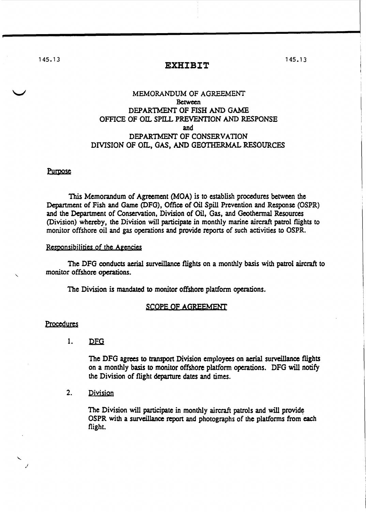145.13

### **EXHIBIT**

# MEMORANDUM OF AGREEMENT **Between** DEPARTMENT OF FISH AND GAME OFFICE OF OIL SPILL PREVENTION AND RESPONSE and DEPARTMENT OF CONSERVATION DIVISION OF OIL, GAS, AND GEOTHERMAL RESOURCES

#### Purpose

This Memorandum of Agreement (MOA) is to establish procedures between the Department of Fish and Game (DFG), Office of Oil Spill Prevention and Response (OSPR) and the Department of Conservation, Division of Oil, Gas, and Geothennal Resources (Division) whereby, the Division will participate in monthly marine aircraft patrol flights to monitor offshore oil and gas operations and provide reports of such activities to OSPR.

### Responsibilities of the Agencies

The DFG conducts aerial surveillance flights on a monthly basis with patrol aircraft to monitor offshore operations.

The Division is mandated to monitor offshore platform operations.

#### SCOPE OF AGREEMENT

#### Procedures

 $\mathbf{1}$ . **DFG** 

> The DFG agrees to transport Division employees on aerial surveillance flights on a monthly basis to monitor offshore platform operations. DFG will notify the Division of flight departure dates and times.

## 2. Division

The Division will participate in monthly aircraft patrols and will provide OSPR with a surveillance report and photographs of the platforms from each flight.

1 45. 1 3